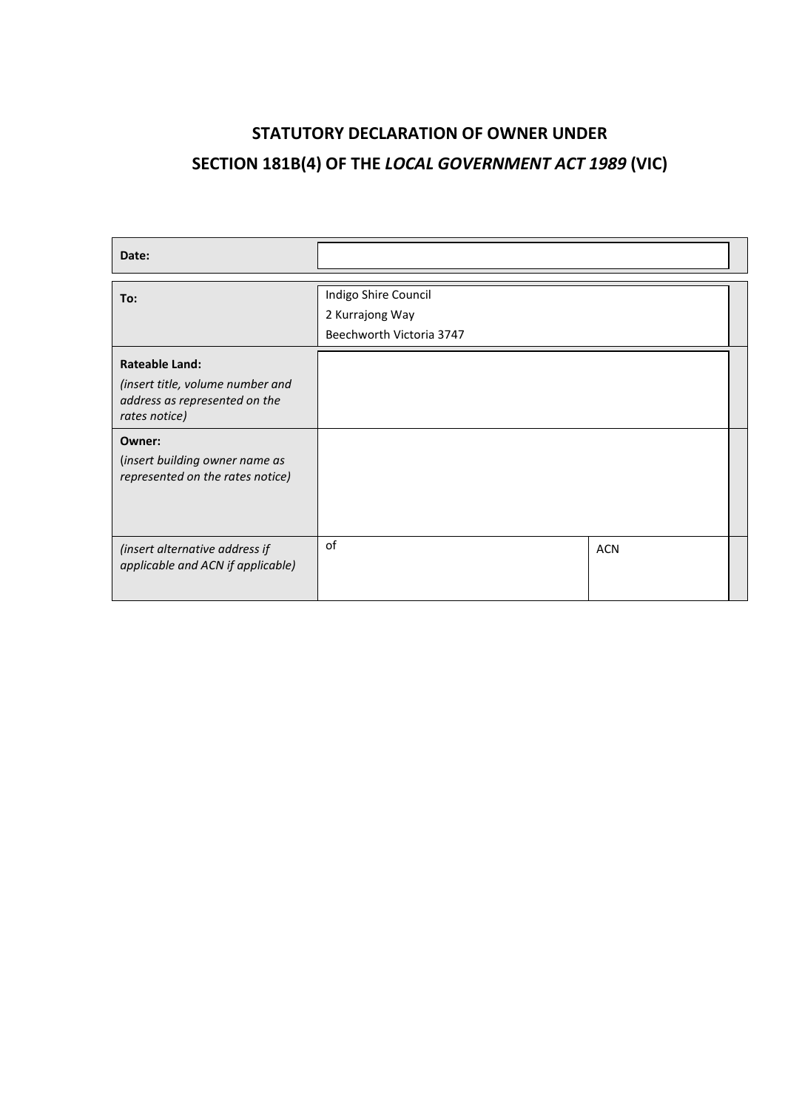# **STATUTORY DECLARATION OF OWNER UNDER SECTION 181B(4) OF THE** *LOCAL GOVERNMENT ACT 1989* **(VIC)**

| Date:                                                                                                       |                                                                     |            |  |
|-------------------------------------------------------------------------------------------------------------|---------------------------------------------------------------------|------------|--|
| To:                                                                                                         | Indigo Shire Council<br>2 Kurrajong Way<br>Beechworth Victoria 3747 |            |  |
| <b>Rateable Land:</b><br>(insert title, volume number and<br>address as represented on the<br>rates notice) |                                                                     |            |  |
| Owner:<br>(insert building owner name as<br>represented on the rates notice)                                |                                                                     |            |  |
| (insert alternative address if<br>applicable and ACN if applicable)                                         | of                                                                  | <b>ACN</b> |  |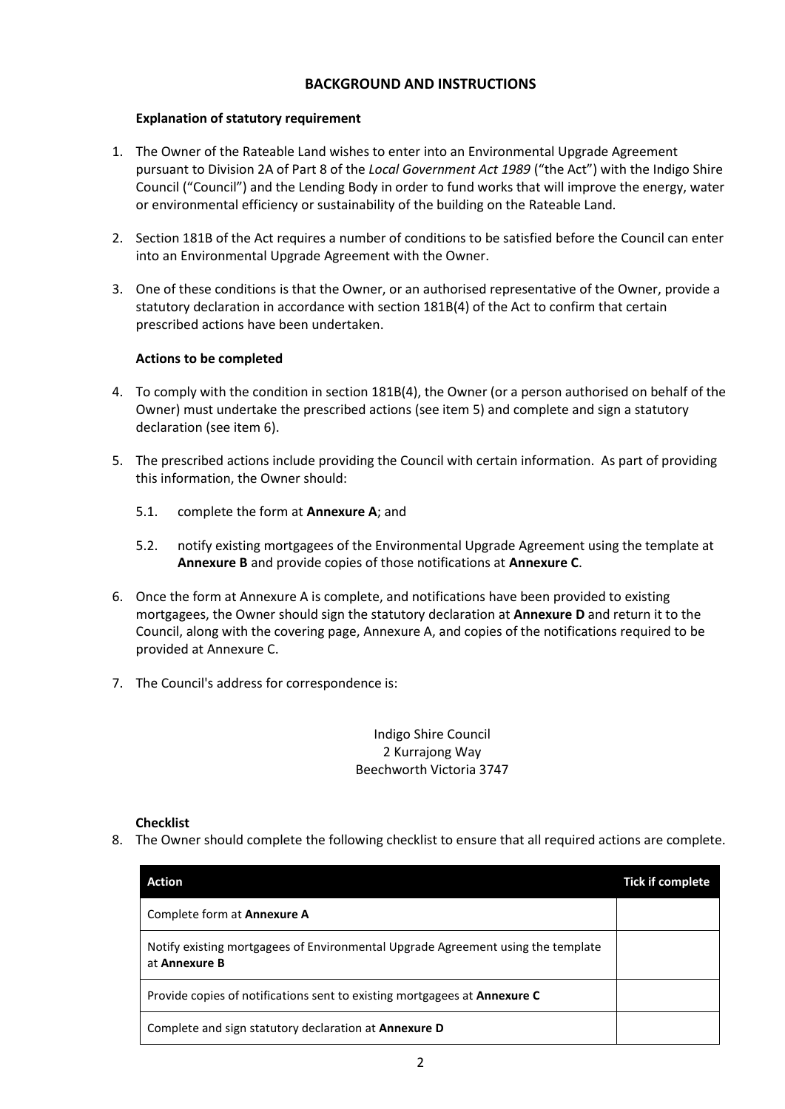# **BACKGROUND AND INSTRUCTIONS**

# **Explanation of statutory requirement**

- 1. The Owner of the Rateable Land wishes to enter into an Environmental Upgrade Agreement pursuant to Division 2A of Part 8 of the *Local Government Act 1989* ("the Act") with the Indigo Shire Council ("Council") and the Lending Body in order to fund works that will improve the energy, water or environmental efficiency or sustainability of the building on the Rateable Land.
- 2. Section 181B of the Act requires a number of conditions to be satisfied before the Council can enter into an Environmental Upgrade Agreement with the Owner.
- 3. One of these conditions is that the Owner, or an authorised representative of the Owner, provide a statutory declaration in accordance with section 181B(4) of the Act to confirm that certain prescribed actions have been undertaken.

# **Actions to be completed**

- 4. To comply with the condition in section 181B(4), the Owner (or a person authorised on behalf of the Owner) must undertake the prescribed actions (see item 5) and complete and sign a statutory declaration (see item 6).
- 5. The prescribed actions include providing the Council with certain information. As part of providing this information, the Owner should:
	- 5.1. complete the form at **Annexure A**; and
	- 5.2. notify existing mortgagees of the Environmental Upgrade Agreement using the template at **Annexure B** and provide copies of those notifications at **Annexure C**.
- 6. Once the form at Annexure A is complete, and notifications have been provided to existing mortgagees, the Owner should sign the statutory declaration at **Annexure D** and return it to the Council, along with the covering page, Annexure A, and copies of the notifications required to be provided at Annexure C.
- 7. The Council's address for correspondence is:

# Indigo Shire Council 2 Kurrajong Way Beechworth Victoria 3747

#### **Checklist**

8. The Owner should complete the following checklist to ensure that all required actions are complete.

| Action                                                                                            | <b>Tick if complete</b> |
|---------------------------------------------------------------------------------------------------|-------------------------|
| Complete form at <b>Annexure A</b>                                                                |                         |
| Notify existing mortgagees of Environmental Upgrade Agreement using the template<br>at Annexure B |                         |
| Provide copies of notifications sent to existing mortgagees at Annexure C                         |                         |
| Complete and sign statutory declaration at <b>Annexure D</b>                                      |                         |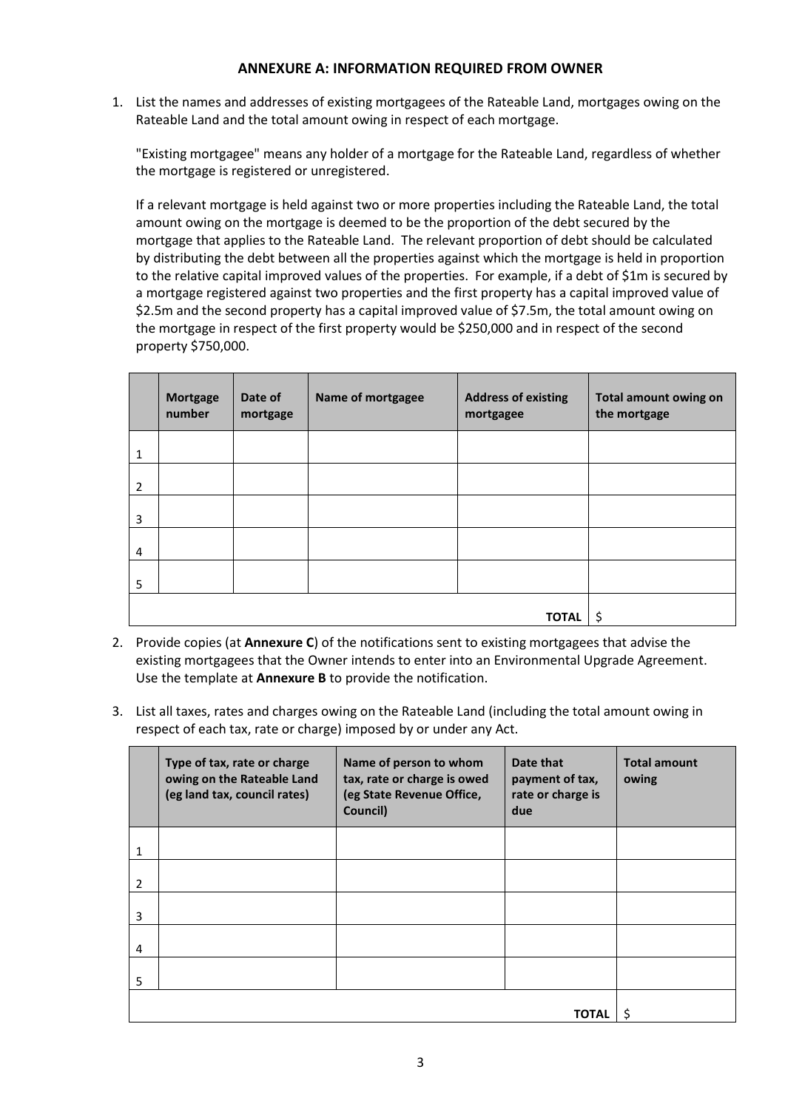#### **ANNEXURE A: INFORMATION REQUIRED FROM OWNER**

1. List the names and addresses of existing mortgagees of the Rateable Land, mortgages owing on the Rateable Land and the total amount owing in respect of each mortgage.

"Existing mortgagee" means any holder of a mortgage for the Rateable Land, regardless of whether the mortgage is registered or unregistered.

If a relevant mortgage is held against two or more properties including the Rateable Land, the total amount owing on the mortgage is deemed to be the proportion of the debt secured by the mortgage that applies to the Rateable Land. The relevant proportion of debt should be calculated by distributing the debt between all the properties against which the mortgage is held in proportion to the relative capital improved values of the properties. For example, if a debt of \$1m is secured by a mortgage registered against two properties and the first property has a capital improved value of \$2.5m and the second property has a capital improved value of \$7.5m, the total amount owing on the mortgage in respect of the first property would be \$250,000 and in respect of the second property \$750,000.

|                | <b>Mortgage</b><br>number | Date of<br>mortgage | Name of mortgagee | <b>Address of existing</b><br>mortgagee | <b>Total amount owing on</b><br>the mortgage |
|----------------|---------------------------|---------------------|-------------------|-----------------------------------------|----------------------------------------------|
| 1              |                           |                     |                   |                                         |                                              |
| $\overline{2}$ |                           |                     |                   |                                         |                                              |
| 3              |                           |                     |                   |                                         |                                              |
| 4              |                           |                     |                   |                                         |                                              |
| 5              |                           |                     |                   |                                         |                                              |
| <b>TOTAL</b>   |                           |                     |                   |                                         | \$                                           |

- 2. Provide copies (at **Annexure C**) of the notifications sent to existing mortgagees that advise the existing mortgagees that the Owner intends to enter into an Environmental Upgrade Agreement. Use the template at **Annexure B** to provide the notification.
- 3. List all taxes, rates and charges owing on the Rateable Land (including the total amount owing in respect of each tax, rate or charge) imposed by or under any Act.

|   | Type of tax, rate or charge<br>owing on the Rateable Land<br>(eg land tax, council rates) | Name of person to whom<br>tax, rate or charge is owed<br>(eg State Revenue Office,<br>Council) | Date that<br>payment of tax,<br>rate or charge is<br>due | <b>Total amount</b><br>owing |
|---|-------------------------------------------------------------------------------------------|------------------------------------------------------------------------------------------------|----------------------------------------------------------|------------------------------|
| 1 |                                                                                           |                                                                                                |                                                          |                              |
| 2 |                                                                                           |                                                                                                |                                                          |                              |
| 3 |                                                                                           |                                                                                                |                                                          |                              |
| 4 |                                                                                           |                                                                                                |                                                          |                              |
| 5 |                                                                                           |                                                                                                |                                                          |                              |
|   |                                                                                           |                                                                                                |                                                          |                              |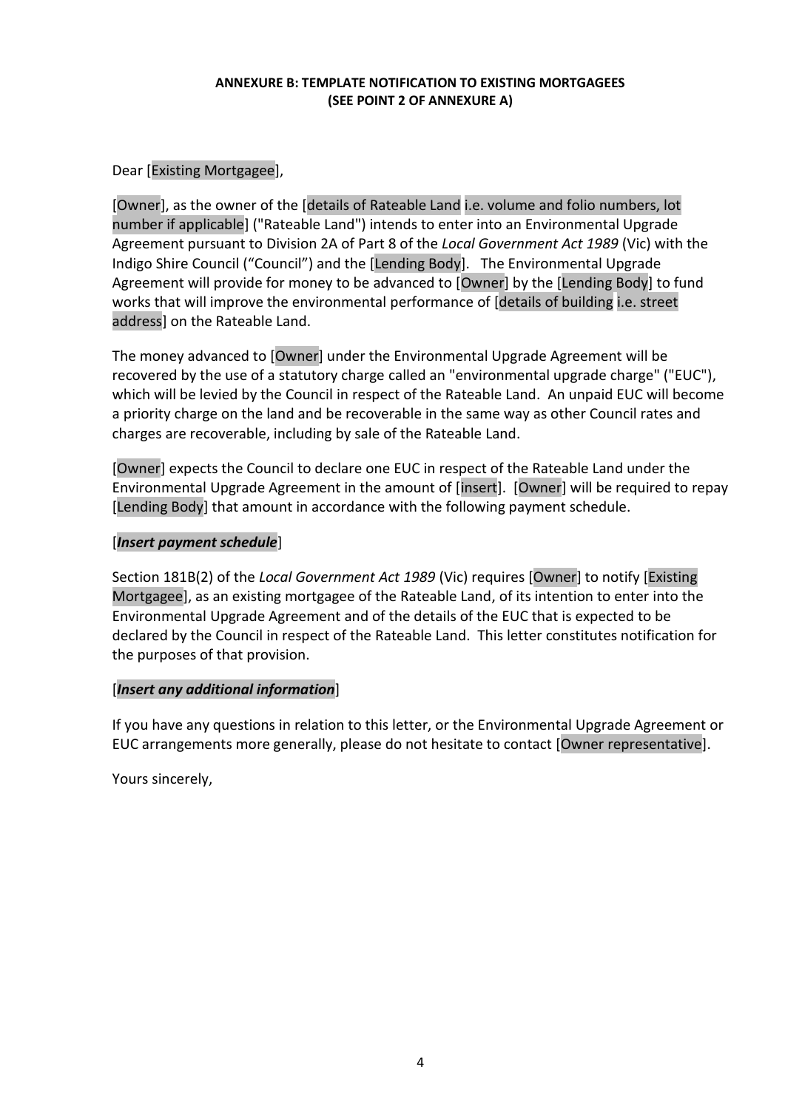#### **ANNEXURE B: TEMPLATE NOTIFICATION TO EXISTING MORTGAGEES (SEE POINT 2 OF ANNEXURE A)**

Dear [Existing Mortgagee],

[Owner], as the owner of the [details of Rateable Land i.e. volume and folio numbers, lot number if applicable] ("Rateable Land") intends to enter into an Environmental Upgrade Agreement pursuant to Division 2A of Part 8 of the *Local Government Act 1989* (Vic) with the Indigo Shire Council ("Council") and the [Lending Body]. The Environmental Upgrade Agreement will provide for money to be advanced to [Owner] by the [Lending Body] to fund works that will improve the environmental performance of [details of building i.e. street address] on the Rateable Land.

The money advanced to [Owner] under the Environmental Upgrade Agreement will be recovered by the use of a statutory charge called an "environmental upgrade charge" ("EUC"), which will be levied by the Council in respect of the Rateable Land. An unpaid EUC will become a priority charge on the land and be recoverable in the same way as other Council rates and charges are recoverable, including by sale of the Rateable Land.

[Owner] expects the Council to declare one EUC in respect of the Rateable Land under the Environmental Upgrade Agreement in the amount of [insert]. [Owner] will be required to repay [Lending Body] that amount in accordance with the following payment schedule.

# [*Insert payment schedule*]

Section 181B(2) of the *Local Government Act 1989* (Vic) requires [Owner] to notify [Existing Mortgagee], as an existing mortgagee of the Rateable Land, of its intention to enter into the Environmental Upgrade Agreement and of the details of the EUC that is expected to be declared by the Council in respect of the Rateable Land. This letter constitutes notification for the purposes of that provision.

# [*Insert any additional information*]

If you have any questions in relation to this letter, or the Environmental Upgrade Agreement or EUC arrangements more generally, please do not hesitate to contact [Owner representative].

Yours sincerely,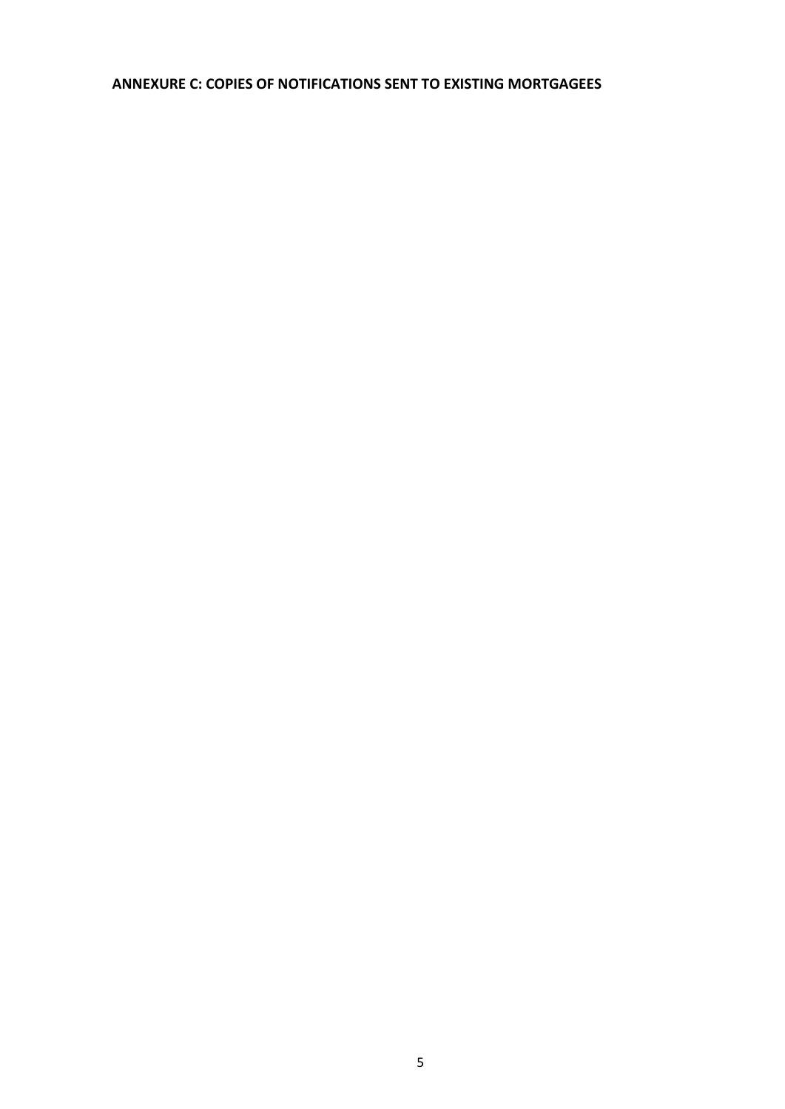# **ANNEXURE C: COPIES OF NOTIFICATIONS SENT TO EXISTING MORTGAGEES**